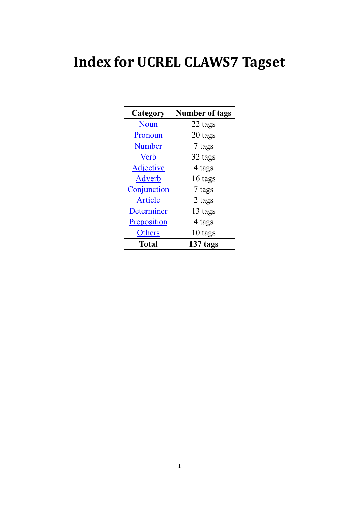## **Index for UCREL CLAWS7 Tagset**

| Category         | <b>Number of tags</b> |
|------------------|-----------------------|
| Noun             | 22 tags               |
| Pronoun          | 20 tags               |
| <b>Number</b>    | 7 tags                |
| <b>Verb</b>      | 32 tags               |
| <b>Adjective</b> | 4 tags                |
| Adverb           | 16 tags               |
| Conjunction      | 7 tags                |
| Article          | 2 tags                |
| Determiner       | 13 tags               |
| Preposition      | 4 tags                |
| Others           | 10 tags               |
| Total            | 137 tags              |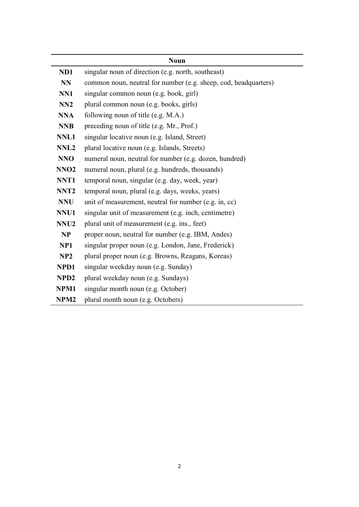<span id="page-1-0"></span>

|                  | <b>Noun</b>                                                     |
|------------------|-----------------------------------------------------------------|
| ND1              | singular noun of direction (e.g. north, southeast)              |
| NN               | common noun, neutral for number (e.g. sheep, cod, headquarters) |
| NN1              | singular common noun (e.g. book, girl)                          |
| NN2              | plural common noun (e.g. books, girls)                          |
| <b>NNA</b>       | following noun of title (e.g. M.A.)                             |
| <b>NNB</b>       | preceding noun of title (e.g. Mr., Prof.)                       |
| NNL1             | singular locative noun (e.g. Island, Street)                    |
| NNL <sub>2</sub> | plural locative noun (e.g. Islands, Streets)                    |
| <b>NNO</b>       | numeral noun, neutral for number (e.g. dozen, hundred)          |
| NNO <sub>2</sub> | numeral noun, plural (e.g. hundreds, thousands)                 |
| NNT1             | temporal noun, singular (e.g. day, week, year)                  |
| NNT <sub>2</sub> | temporal noun, plural (e.g. days, weeks, years)                 |
| <b>NNU</b>       | unit of measurement, neutral for number (e.g. in, cc)           |
| NNU1             | singular unit of measurement (e.g. inch, centimetre)            |
| NNU <sub>2</sub> | plural unit of measurement (e.g. ins., feet)                    |
| <b>NP</b>        | proper noun, neutral for number (e.g. IBM, Andes)               |
| NP1              | singular proper noun (e.g. London, Jane, Frederick)             |
| NP2              | plural proper noun (e.g. Browns, Reagans, Koreas)               |
| NPD1             | singular weekday noun (e.g. Sunday)                             |
| NPD <sub>2</sub> | plural weekday noun (e.g. Sundays)                              |
| NPM1             | singular month noun (e.g. October)                              |
| NPM <sub>2</sub> | plural month noun (e.g. Octobers)                               |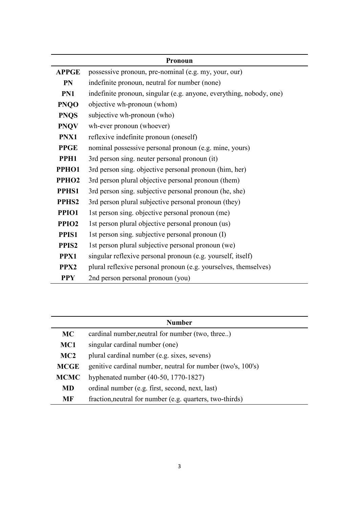<span id="page-2-0"></span>

| Pronoun           |                                                                     |
|-------------------|---------------------------------------------------------------------|
| <b>APPGE</b>      | possessive pronoun, pre-nominal (e.g. my, your, our)                |
| <b>PN</b>         | indefinite pronoun, neutral for number (none)                       |
| PN1               | indefinite pronoun, singular (e.g. anyone, everything, nobody, one) |
| <b>PNQO</b>       | objective wh-pronoun (whom)                                         |
| <b>PNQS</b>       | subjective wh-pronoun (who)                                         |
| <b>PNQV</b>       | wh-ever pronoun (whoever)                                           |
| PNX1              | reflexive indefinite pronoun (oneself)                              |
| <b>PPGE</b>       | nominal possessive personal pronoun (e.g. mine, yours)              |
| PPH1              | 3rd person sing. neuter personal pronoun (it)                       |
| PPHO1             | 3rd person sing. objective personal pronoun (him, her)              |
| PPHO <sub>2</sub> | 3rd person plural objective personal pronoun (them)                 |
| PPHS1             | 3rd person sing. subjective personal pronoun (he, she)              |
| PPHS <sub>2</sub> | 3rd person plural subjective personal pronoun (they)                |
| PPIO1             | 1st person sing. objective personal pronoun (me)                    |
| PPIO <sub>2</sub> | 1st person plural objective personal pronoun (us)                   |
| PPIS1             | 1st person sing. subjective personal pronoun (I)                    |
| PPIS <sub>2</sub> | 1st person plural subjective personal pronoun (we)                  |
| PPX1              | singular reflexive personal pronoun (e.g. yourself, itself)         |
| PPX <sub>2</sub>  | plural reflexive personal pronoun (e.g. yourselves, themselves)     |
| <b>PPY</b>        | 2nd person personal pronoun (you)                                   |

<span id="page-2-1"></span>

| <b>Number</b> |                                                             |
|---------------|-------------------------------------------------------------|
| <b>MC</b>     | cardinal number, neutral for number (two, three)            |
| MC1           | singular cardinal number (one)                              |
| MC2           | plural cardinal number (e.g. sixes, sevens)                 |
| <b>MCGE</b>   | genitive cardinal number, neutral for number (two's, 100's) |
| <b>MCMC</b>   | hyphenated number $(40-50, 1770-1827)$                      |
| <b>MD</b>     | ordinal number (e.g. first, second, next, last)             |
| MF            | fraction, neutral for number (e.g. quarters, two-thirds)    |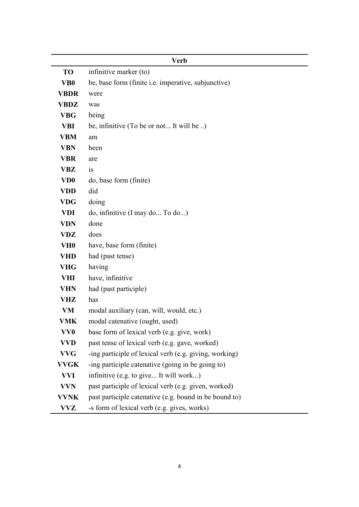<span id="page-3-0"></span>

|                 | <b>Verb</b>                                                |
|-----------------|------------------------------------------------------------|
| <b>TO</b>       | infinitive marker (to)                                     |
| VB <sub>0</sub> | be, base form (finite <i>i.e.</i> imperative, subjunctive) |
| <b>VBDR</b>     | were                                                       |
| <b>VBDZ</b>     | was                                                        |
| <b>VBG</b>      | being                                                      |
| <b>VBI</b>      | be, infinitive (To be or not It will be )                  |
| <b>VBM</b>      | am                                                         |
| <b>VBN</b>      | been                                                       |
| <b>VBR</b>      | are                                                        |
| <b>VBZ</b>      | 1S                                                         |
| VD <sub>0</sub> | do, base form (finite)                                     |
| <b>VDD</b>      | did                                                        |
| <b>VDG</b>      | doing                                                      |
| <b>VDI</b>      | do, infinitive (I may do To do)                            |
| <b>VDN</b>      | done                                                       |
| <b>VDZ</b>      | does                                                       |
| VH <sub>0</sub> | have, base form (finite)                                   |
| <b>VHD</b>      | had (past tense)                                           |
| <b>VHG</b>      | having                                                     |
| <b>VHI</b>      | have, infinitive                                           |
| <b>VHN</b>      | had (past participle)                                      |
| <b>VHZ</b>      | has                                                        |
| <b>VM</b>       | modal auxiliary (can, will, would, etc.)                   |
| VMK             | modal catenative (ought, used)                             |
| VV <sub>0</sub> | base form of lexical verb (e.g. give, work)                |
| VVD             | past tense of lexical verb (e.g. gave, worked)             |
| <b>VVG</b>      | -ing participle of lexical verb (e.g. giving, working)     |
| <b>VVGK</b>     | -ing participle catenative (going in be going to)          |
| <b>VVI</b>      | infinitive (e.g. to give It will work)                     |
| <b>VVN</b>      | past participle of lexical verb (e.g. given, worked)       |
| <b>VVNK</b>     | past participle catenative (e.g. bound in be bound to)     |
| <b>VVZ</b>      | -s form of lexical verb (e.g. gives, works)                |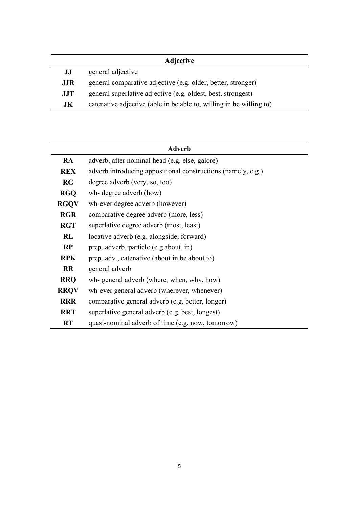<span id="page-4-0"></span>

| <b>Adjective</b> |                                                                     |
|------------------|---------------------------------------------------------------------|
| JJ               | general adjective                                                   |
| <b>JJR</b>       | general comparative adjective (e.g. older, better, stronger)        |
| <b>JJT</b>       | general superlative adjective (e.g. oldest, best, strongest)        |
| JK               | catenative adjective (able in be able to, willing in be willing to) |
|                  |                                                                     |

<span id="page-4-1"></span>

| <b>Adverb</b> |                                                              |
|---------------|--------------------------------------------------------------|
| <b>RA</b>     | adverb, after nominal head (e.g. else, galore)               |
| <b>REX</b>    | adverb introducing appositional constructions (namely, e.g.) |
| RG            | degree adverb (very, so, too)                                |
| <b>RGQ</b>    | wh- degree adverb (how)                                      |
| <b>RGQV</b>   | wh-ever degree adverb (however)                              |
| <b>RGR</b>    | comparative degree adverb (more, less)                       |
| <b>RGT</b>    | superlative degree adverb (most, least)                      |
| RL            | locative adverb (e.g. alongside, forward)                    |
| RP            | prep. adverb, particle (e.g about, in)                       |
| <b>RPK</b>    | prep. adv., catenative (about in be about to)                |
| <b>RR</b>     | general adverb                                               |
| <b>RRQ</b>    | wh- general adverb (where, when, why, how)                   |
| <b>RRQV</b>   | wh-ever general adverb (wherever, whenever)                  |
| <b>RRR</b>    | comparative general adverb (e.g. better, longer)             |
| <b>RRT</b>    | superlative general adverb (e.g. best, longest)              |
| <b>RT</b>     | quasi-nominal adverb of time (e.g. now, tomorrow)            |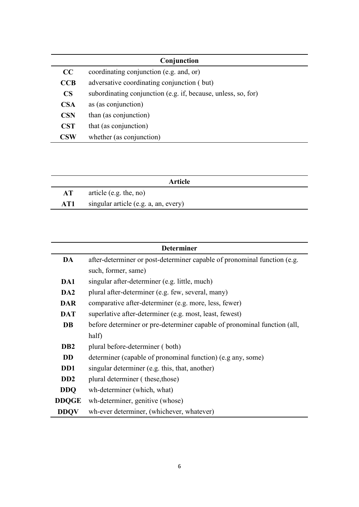<span id="page-5-0"></span>

| Conjunction    |                                                               |
|----------------|---------------------------------------------------------------|
| CC             | coordinating conjunction (e.g. and, or)                       |
| CCB            | adversative coordinating conjunction (but)                    |
| $\mathbf{CS}$  | subordinating conjunction (e.g. if, because, unless, so, for) |
| <b>CSA</b>     | as (as conjunction)                                           |
| <b>CSN</b>     | than (as conjunction)                                         |
| <b>CST</b>     | that (as conjunction)                                         |
| $\mathbf{CSW}$ | whether (as conjunction)                                      |

<span id="page-5-1"></span>

| Article |                                      |
|---------|--------------------------------------|
| AT      | article (e.g. the, no)               |
| AT1     | singular article (e.g. a, an, every) |

<span id="page-5-2"></span>

| <b>Determiner</b>           |                                                                          |
|-----------------------------|--------------------------------------------------------------------------|
| DA                          | after-determiner or post-determiner capable of pronominal function (e.g. |
|                             | such, former, same)                                                      |
| DA1                         | singular after-determiner (e.g. little, much)                            |
| DA <sub>2</sub>             | plural after-determiner (e.g. few, several, many)                        |
| <b>DAR</b>                  | comparative after-determiner (e.g. more, less, fewer)                    |
| <b>DAT</b>                  | superlative after-determiner (e.g. most, least, fewest)                  |
| <b>DB</b>                   | before determiner or pre-determiner capable of pronominal function (all, |
|                             | half)                                                                    |
| D <sub>B2</sub>             | plural before-determiner (both)                                          |
| <b>DD</b>                   | determiner (capable of pronominal function) (e.g any, some)              |
| D <sub>D</sub> 1            | singular determiner (e.g. this, that, another)                           |
| D <sub>D</sub> <sub>2</sub> | plural determiner (these, those)                                         |
| <b>DDO</b>                  | wh-determiner (which, what)                                              |
| <b>DDQGE</b>                | wh-determiner, genitive (whose)                                          |
| <b>DDOV</b>                 | wh-ever determiner, (whichever, whatever)                                |